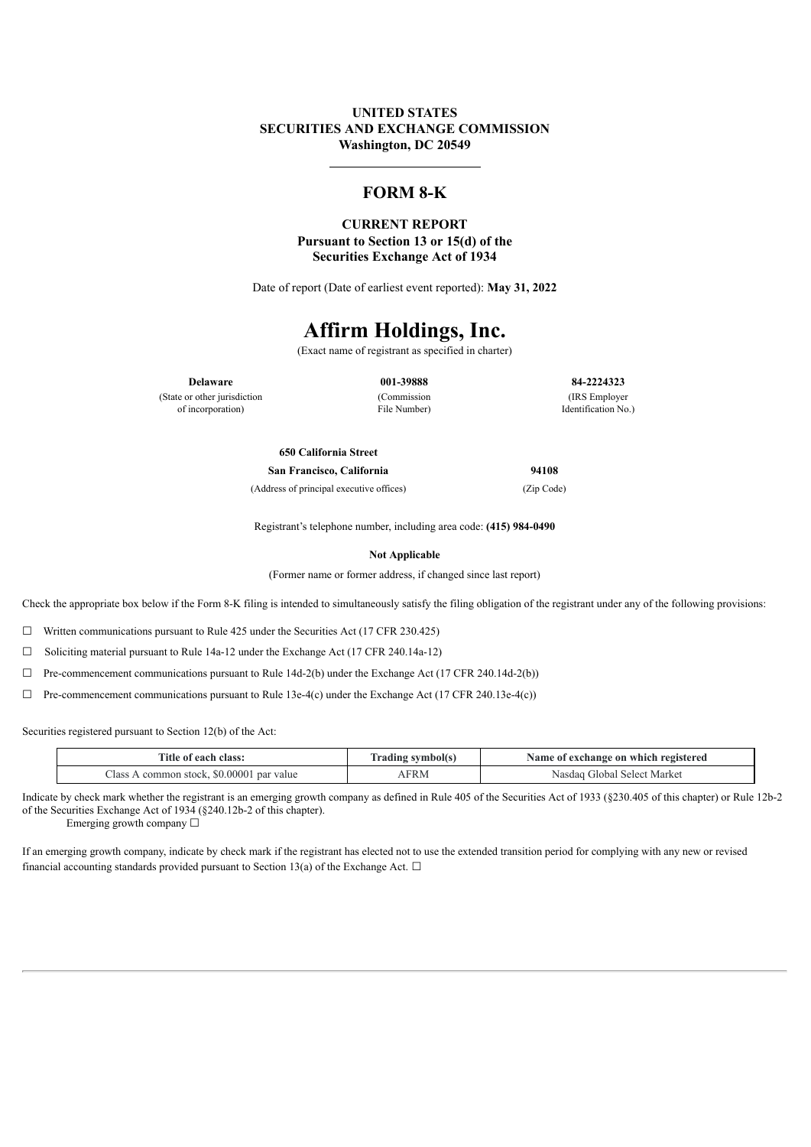### **UNITED STATES SECURITIES AND EXCHANGE COMMISSION Washington, DC 20549**

# **FORM 8-K**

#### **CURRENT REPORT Pursuant to Section 13 or 15(d) of the Securities Exchange Act of 1934**

Date of report (Date of earliest event reported): **May 31, 2022**

# **Affirm Holdings, Inc.**

(Exact name of registrant as specified in charter)

(State or other jurisdiction of incorporation)

(Commission File Number)

**Delaware 001-39888 84-2224323** (IRS Employer Identification No.)

### **650 California Street**

(Address of principal executive offices) (Zip Code)

**San Francisco, California 94108**

Registrant's telephone number, including area code: **(415) 984-0490**

**Not Applicable**

(Former name or former address, if changed since last report)

Check the appropriate box below if the Form 8-K filing is intended to simultaneously satisfy the filing obligation of the registrant under any of the following provisions:

☐ Written communications pursuant to Rule 425 under the Securities Act (17 CFR 230.425)

☐ Soliciting material pursuant to Rule 14a-12 under the Exchange Act (17 CFR 240.14a-12)

 $\Box$  Pre-commencement communications pursuant to Rule 14d-2(b) under the Exchange Act (17 CFR 240.14d-2(b))

☐ Pre-commencement communications pursuant to Rule 13e-4(c) under the Exchange Act (17 CFR 240.13e-4(c))

Securities registered pursuant to Section 12(b) of the Act:

| Title of each class:                      | <b>Trading symbol(s)</b> | Name of exchange on which registered |
|-------------------------------------------|--------------------------|--------------------------------------|
| common stock, \$0.00001 par value<br>lass | FRM                      | -Select Market<br>Filobal<br>Nasdaq  |

Indicate by check mark whether the registrant is an emerging growth company as defined in Rule 405 of the Securities Act of 1933 (§230.405 of this chapter) or Rule 12b-2 of the Securities Exchange Act of 1934 (§240.12b-2 of this chapter).

Emerging growth company ☐

If an emerging growth company, indicate by check mark if the registrant has elected not to use the extended transition period for complying with any new or revised financial accounting standards provided pursuant to Section 13(a) of the Exchange Act.  $\Box$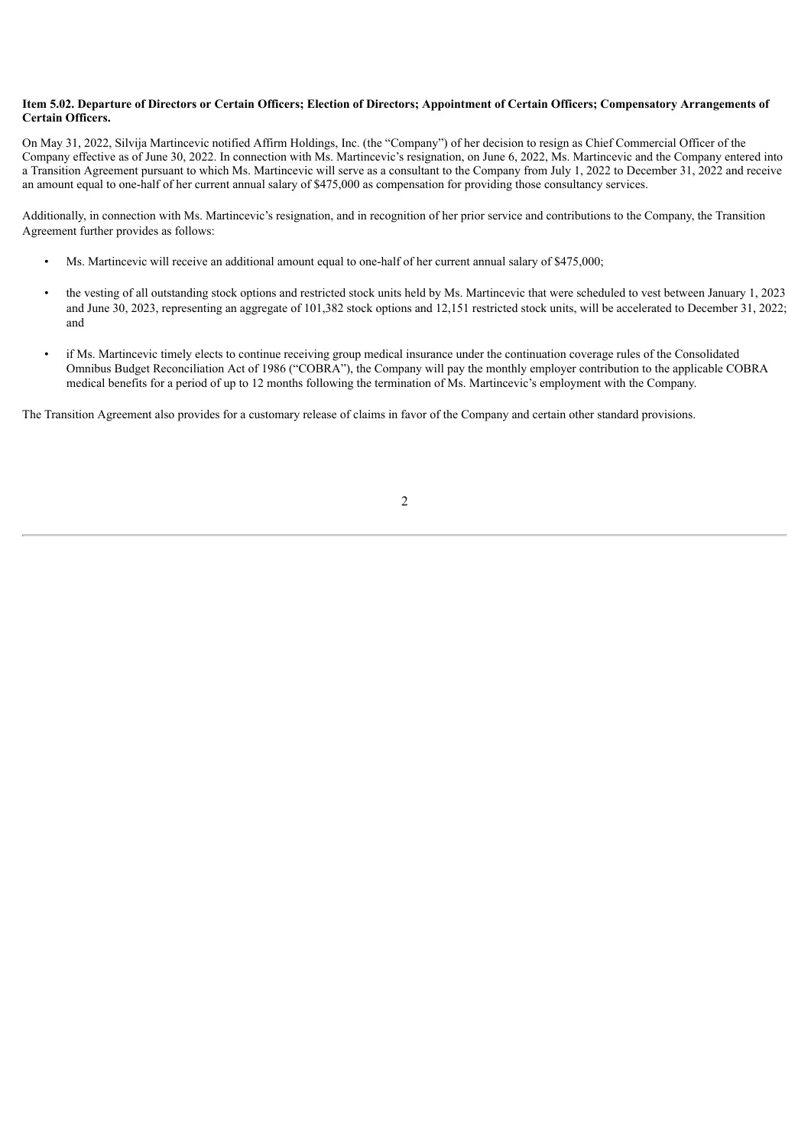#### Item 5.02. Departure of Directors or Certain Officers; Election of Directors; Appointment of Certain Officers; Compensatory Arrangements of **Certain Officers.**

On May 31, 2022, Silvija Martincevic notified Affirm Holdings, Inc. (the "Company") of her decision to resign as Chief Commercial Officer of the Company effective as of June 30, 2022. In connection with Ms. Martincevic's resignation, on June 6, 2022, Ms. Martincevic and the Company entered into a Transition Agreement pursuant to which Ms. Martincevic will serve as a consultant to the Company from July 1, 2022 to December 31, 2022 and receive an amount equal to one-half of her current annual salary of \$475,000 as compensation for providing those consultancy services.

Additionally, in connection with Ms. Martincevic's resignation, and in recognition of her prior service and contributions to the Company, the Transition Agreement further provides as follows:

- Ms. Martincevic will receive an additional amount equal to one-half of her current annual salary of \$475,000;
- the vesting of all outstanding stock options and restricted stock units held by Ms. Martincevic that were scheduled to vest between January 1, 2023 and June 30, 2023, representing an aggregate of 101,382 stock options and 12,151 restricted stock units, will be accelerated to December 31, 2022; and
- if Ms. Martincevic timely elects to continue receiving group medical insurance under the continuation coverage rules of the Consolidated Omnibus Budget Reconciliation Act of 1986 ("COBRA"), the Company will pay the monthly employer contribution to the applicable COBRA medical benefits for a period of up to 12 months following the termination of Ms. Martincevic's employment with the Company.

The Transition Agreement also provides for a customary release of claims in favor of the Company and certain other standard provisions.

2